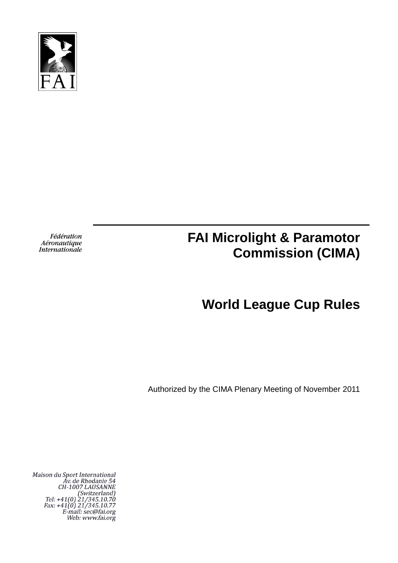

Fédération Aéronautique Internationale

# **FAI Microlight & Paramotor Commission (CIMA)**

# **World League Cup Rules**

Authorized by the CIMA Plenary Meeting of November 2011

Maison du Sport International<br>Av. de Rhodanie 54<br>CH-1007 LAUSANNE<br>(Switzerland)<br>Tel: +41(0) 21/345.10.70<br>Fax: +41(0) 21/345.10.77<br>E-mail: sec@fai.org Web: www.fai.org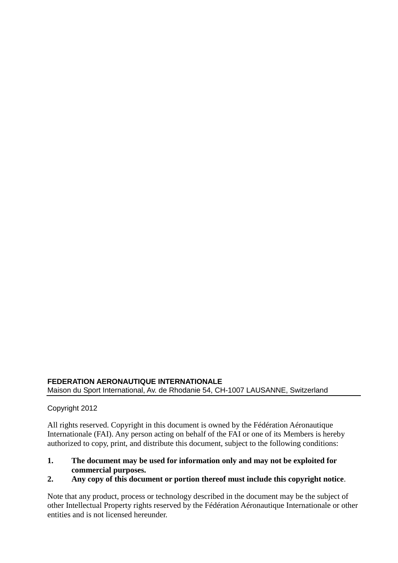### **FEDERATION AERONAUTIQUE INTERNATIONALE** Maison du Sport International, Av. de Rhodanie 54, CH-1007 LAUSANNE, Switzerland

### Copyright 2012

All rights reserved. Copyright in this document is owned by the Fédération Aéronautique Internationale (FAI). Any person acting on behalf of the FAI or one of its Members is hereby authorized to copy, print, and distribute this document, subject to the following conditions:

### **1. The document may be used for information only and may not be exploited for commercial purposes.**

### **2. Any copy of this document or portion thereof must include this copyright notice**.

Note that any product, process or technology described in the document may be the subject of other Intellectual Property rights reserved by the Fédération Aéronautique Internationale or other entities and is not licensed hereunder.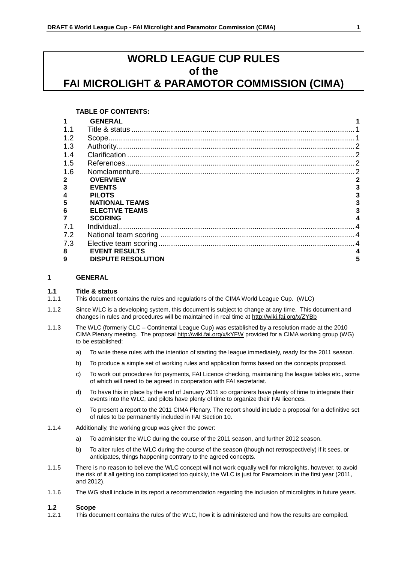## **WORLD LEAGUE CUP RULES of the FAI MICROLIGHT & PARAMOTOR COMMISSION (CIMA)**

#### **TABLE OF CONTENTS:**

|                | <b>GENERAL</b>            |   |
|----------------|---------------------------|---|
|                |                           |   |
| 1.2            |                           |   |
| 1.3            |                           |   |
| 1.4            |                           |   |
| 1.5            |                           |   |
| 1.6            |                           |   |
|                | <b>OVERVIEW</b>           | 2 |
|                | <b>EVENTS</b>             |   |
| $\overline{4}$ | <b>PILOTS</b>             |   |
| 5              | <b>NATIONAL TEAMS</b>     |   |
| 6              | <b>ELECTIVE TEAMS</b>     |   |
|                | <b>SCORING</b>            | 4 |
| 7.1            |                           |   |
| 7.2            |                           |   |
| 7.3            |                           |   |
| 8              | <b>EVENT RESULTS</b>      |   |
| 9              | <b>DISPUTE RESOLUTION</b> |   |

#### **1 GENERAL**

#### **1.1 Title & status**

- 1.1.1 This document contains the rules and regulations of the CIMA World League Cup. (WLC)
- 1.1.2 Since WLC is a developing system, this document is subject to change at any time. This document and changes in rules and procedures will be maintained in real time at<http://wiki.fai.org/x/ZYBb>
- 1.1.3 The WLC (formerly CLC Continental League Cup) was established by a resolution made at the 2010 CIMA Plenary meeting. The proposal<http://wiki.fai.org/x/kYFW> provided for a CIMA working group (WG) to be established:
	- a) To write these rules with the intention of starting the league immediately, ready for the 2011 season.
	- b) To produce a simple set of working rules and application forms based on the concepts proposed.
	- c) To work out procedures for payments, FAI Licence checking, maintaining the league tables etc., some of which will need to be agreed in cooperation with FAI secretariat.
	- d) To have this in place by the end of January 2011 so organizers have plenty of time to integrate their events into the WLC, and pilots have plenty of time to organize their FAI licences.
	- e) To present a report to the 2011 CIMA Plenary. The report should include a proposal for a definitive set of rules to be permanently included in FAI Section 10.
- 1.1.4 Additionally, the working group was given the power:
	- a) To administer the WLC during the course of the 2011 season, and further 2012 season.
	- b) To alter rules of the WLC during the course of the season (though not retrospectively) if it sees, or anticipates, things happening contrary to the agreed concepts.
- 1.1.5 There is no reason to believe the WLC concept will not work equally well for microlights, however, to avoid the risk of it all getting too complicated too quickly, the WLC is just for Paramotors in the first year (2011, and 2012).
- 1.1.6 The WG shall include in its report a recommendation regarding the inclusion of microlights in future years.

# **1.2.1 Scope**<br>**1.2.1 This do**

This document contains the rules of the WLC, how it is administered and how the results are compiled.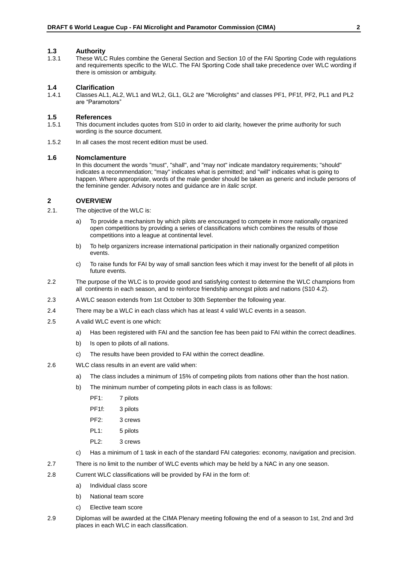#### **1.3 Authority**

1.3.1 These WLC Rules combine the General Section and Section 10 of the FAI Sporting Code with regulations and requirements specific to the WLC. The FAI Sporting Code shall take precedence over WLC wording if there is omission or ambiguity.

#### **1.4 Clarification**

1.4.1 Classes AL1, AL2, WL1 and WL2, GL1, GL2 are "Microlights" and classes PF1, PF1f, PF2, PL1 and PL2 are "Paramotors"

#### **1.5 References**

- 1.5.1 This document includes quotes from S10 in order to aid clarity, however the prime authority for such wording is the source document.
- 1.5.2 In all cases the most recent edition must be used.

#### **1.6 Nomclamenture**

In this document the words "must", "shall", and "may not" indicate mandatory requirements; "should" indicates a recommendation; "may" indicates what is permitted; and "will" indicates what is going to happen. Where appropriate, words of the male gender should be taken as generic and include persons of the feminine gender. Advisory notes and guidance are in *italic script*.

#### **2 OVERVIEW**

- 2.1. The objective of the WLC is:
	- a) To provide a mechanism by which pilots are encouraged to compete in more nationally organized open competitions by providing a series of classifications which combines the results of those competitions into a league at continental level.
	- b) To help organizers increase international participation in their nationally organized competition events.
	- c) To raise funds for FAI by way of small sanction fees which it may invest for the benefit of all pilots in future events.
- 2.2 The purpose of the WLC is to provide good and satisfying contest to determine the WLC champions from all continents in each season, and to reinforce friendship amongst pilots and nations (S10 4.2).
- 2.3 A WLC season extends from 1st October to 30th September the following year.
- 2.4 There may be a WLC in each class which has at least 4 valid WLC events in a season.
- 2.5 A valid WLC event is one which:
	- a) Has been registered with FAI and the sanction fee has been paid to FAI within the correct deadlines.
	- b) Is open to pilots of all nations.
	- c) The results have been provided to FAI within the correct deadline.
- 2.6 WLC class results in an event are valid when:
	- a) The class includes a minimum of 15% of competing pilots from nations other than the host nation.
	- b) The minimum number of competing pilots in each class is as follows:
		- PF1: 7 pilots
		- PF1f: 3 pilots
		- PF2: 3 crews
		- PL1: 5 pilots
		- PL2: 3 crews
	- c) Has a minimum of 1 task in each of the standard FAI categories: economy, navigation and precision.
- 2.7 There is no limit to the number of WLC events which may be held by a NAC in any one season.
- 2.8 Current WLC classifications will be provided by FAI in the form of:
	- a) Individual class score
	- b) National team score
	- c) Elective team score
- 2.9 Diplomas will be awarded at the CIMA Plenary meeting following the end of a season to 1st, 2nd and 3rd places in each WLC in each classification.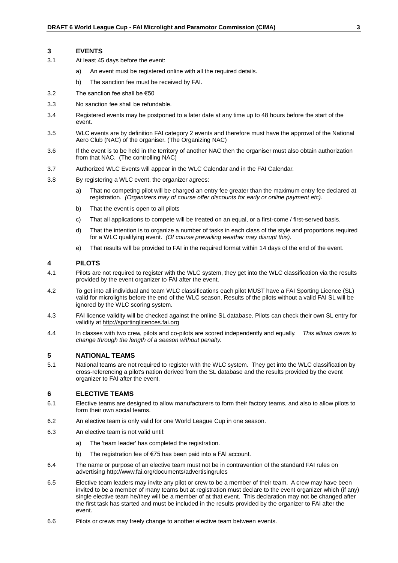#### **3 EVENTS**

- 3.1 At least 45 days before the event:
	- a) An event must be registered online with all the required details.
	- b) The sanction fee must be received by FAI.
- 3.2 The sanction fee shall be  $€50$
- 3.3 No sanction fee shall be refundable.
- 3.4 Registered events may be postponed to a later date at any time up to 48 hours before the start of the event.
- 3.5 WLC events are by definition FAI category 2 events and therefore must have the approval of the National Aero Club (NAC) of the organiser. (The Organizing NAC)
- 3.6 If the event is to be held in the territory of another NAC then the organiser must also obtain authorization from that NAC. (The controlling NAC)
- 3.7 Authorized WLC Events will appear in the WLC Calendar and in the FAI Calendar.
- 3.8 By registering a WLC event, the organizer agrees:
	- a) That no competing pilot will be charged an entry fee greater than the maximum entry fee declared at registration. *(Organizers may of course offer discounts for early or online payment etc).*
	- b) That the event is open to all pilots
	- c) That all applications to compete will be treated on an equal, or a first-come / first-served basis.
	- d) That the intention is to organize a number of tasks in each class of the style and proportions required for a WLC qualifying event. *(Of course prevailing weather may disrupt this).*
	- e) That results will be provided to FAI in the required format within 14 days of the end of the event.

#### **4 PILOTS**

- 4.1 Pilots are not required to register with the WLC system, they get into the WLC classification via the results provided by the event organizer to FAI after the event.
- 4.2 To get into all individual and team WLC classifications each pilot MUST have a FAI Sporting Licence (SL) valid for microlights before the end of the WLC season. Results of the pilots without a valid FAI SL will be ignored by the WLC scoring system.
- 4.3 FAI licence validity will be checked against the online SL database. Pilots can check their own SL entry for validity a[t http://sportinglicences.fai.org](http://sportinglicences.fai.org/)
- 4.4 In classes with two crew, pilots and co-pilots are scored independently and equally. *This allows crews to change through the length of a season without penalty.*

#### **5 NATIONAL TEAMS**

5.1 National teams are not required to register with the WLC system. They get into the WLC classification by cross-referencing a pilot's nation derived from the SL database and the results provided by the event organizer to FAI after the event.

#### **6 ELECTIVE TEAMS**

- 6.1 Elective teams are designed to allow manufacturers to form their factory teams, and also to allow pilots to form their own social teams.
- 6.2 An elective team is only valid for one World League Cup in one season.
- 6.3 An elective team is not valid until:
	- a) The 'team leader' has completed the registration.
	- b) The registration fee of €75 has been paid into a FAI account.
- 6.4 The name or purpose of an elective team must not be in contravention of the standard FAI rules on advertisin[g http://www.fai.org/documents/advertisingrules](http://www.fai.org/documents/advertisingrules)
- 6.5 Elective team leaders may invite any pilot or crew to be a member of their team. A crew may have been invited to be a member of many teams but at registration must declare to the event organizer which (if any) single elective team he/they will be a member of at that event. This declaration may not be changed after the first task has started and must be included in the results provided by the organizer to FAI after the event.
- 6.6 Pilots or crews may freely change to another elective team between events.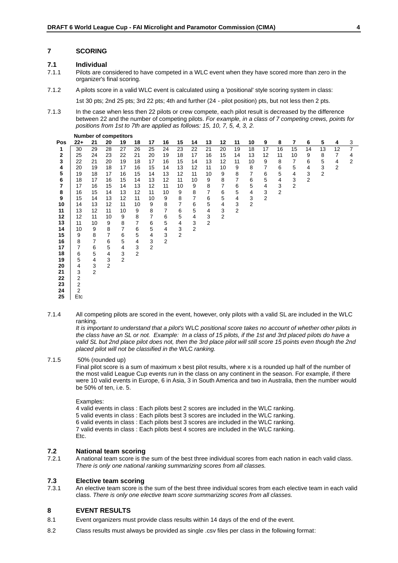#### **7 SCORING**

# **7.1 Individual**

**Number of competitors**

- Pilots are considered to have competed in a WLC event when they have scored more than zero in the organizer's final scoring.
- 7.1.2 A pilots score in a valid WLC event is calculated using a 'positional' style scoring system in class:
	- 1st 30 pts; 2nd 25 pts; 3rd 22 pts; 4th and further (24 pilot position) pts, but not less then 2 pts.
- 7.1.3 In the case when less then 22 pilots or crew compete, each pilot result is decreased by the difference between 22 and the number of competing pilots. *For example, in a class of 7 competing crews, points for positions from 1st to 7th are applied as follows: 15, 10, 7, 5, 4, 3, 2.*

|     | Number or competitors |               |                |                |                           |                |                |                         |                  |                |               |                |    |                |                |                |                |                |                |                |
|-----|-----------------------|---------------|----------------|----------------|---------------------------|----------------|----------------|-------------------------|------------------|----------------|---------------|----------------|----|----------------|----------------|----------------|----------------|----------------|----------------|----------------|
| Pos | $22+$                 | 21            | 20             | 19             | 18                        | 17             | 16             | 15                      | 14               | 13             | 12            | 11             | 10 | 9              | 8              | $\overline{7}$ | 6              | 5              | 4              | 3              |
| 1   | 30                    | 29            | 28             | 27             | 26                        | 25             | 24             | 23                      | 22               | 21             | 20            | 19             | 18 | 17             | 16             | 15             | 14             | 13             | 12             | $\overline{7}$ |
| 2   | 25                    | 24            | 23             | 22             | 21                        | 20             | 19             | 18                      | 17               | 16             | 15            | 14             | 13 | 12             | 11             | 10             | 9              | 8              | 7              | 4              |
| 3   | 22                    | 21            | 20             | 19             | 18                        | 17             | 16             | 15                      | 14               | 13             | 12            | 11             | 10 | 9              | 8              | 7              | 6              | 5              | 4              | 2              |
| 4   | 20                    | 19            | 18             | 17             | 16                        | 15             | 14             | 13                      | 12               | 11             | 10            | 9              | 8  | 7              | 6              | 5              | 4              | 3              | $\overline{2}$ |                |
| 5   | 19                    | 18            | 17             | 16             | 15                        | 14             | 13             | 12                      | 11               | 10             | 9             | 8              | 7  | 6              | 5              | 4              | 3              | $\overline{2}$ |                |                |
| 6   | 18                    | 17            | 16             | 15             | 14                        | 13             | 12             | 11                      | 10               | 9              | 8             | $\overline{7}$ | 6  | 5              | 4              | $\mathsf 3$    | $\overline{2}$ |                |                |                |
| 7   | 17                    | 16            | 15             | 14             | 13                        | 12             | 11             | 10                      | 9                | 8              | 7             | 6              | 5  | 4              | 3              | $\overline{2}$ |                |                |                |                |
| 8   | 16                    | 15            | 14             | 13             | 12                        | 11             | 10             | 9                       | 8                | $\overline{7}$ | 6             | 5              | 4  | 3              | $\overline{2}$ |                |                |                |                |                |
| 9   | 15                    | 14            | 13             | 12             | 11                        | 10             | 9              | 8                       | $\boldsymbol{7}$ | $\,6$          | 5             | 4              | 3  | $\overline{2}$ |                |                |                |                |                |                |
| 10  | 14                    | 13            | 12             | 11             | 10                        | 9              | 8              | $\overline{7}$          | 6                | 5              | 4             | 3              | 2  |                |                |                |                |                |                |                |
| 11  | 13                    | 12            | 11             | 10             | 9                         | 8              | 7              | 6                       | 5                | 4              | $\frac{3}{2}$ | $\mathbf{2}$   |    |                |                |                |                |                |                |                |
| 12  | 12                    | 11            | 10             | 9              | $\bf 8$                   | $\overline{7}$ | 6              | 5                       | 4                | $\mathsf 3$    |               |                |    |                |                |                |                |                |                |                |
| 13  | 11                    | 10            | 9              | 8              | $\overline{7}$            | 6              | $\,$ 5 $\,$    | $\overline{\mathbf{4}}$ | $\mathsf 3$      | $\overline{2}$ |               |                |    |                |                |                |                |                |                |                |
| 14  | 10                    | 9             | 8              | $\overline{7}$ | 6                         | $\mathbf 5$    | 4              | $\mathsf 3$             | $\overline{2}$   |                |               |                |    |                |                |                |                |                |                |                |
| 15  | 9                     | 8             | $\overline{7}$ | 6              | 5                         | 4              | 3              | 2                       |                  |                |               |                |    |                |                |                |                |                |                |                |
| 16  | 8                     | 7             | 6              | 5              | 4                         | $\frac{3}{2}$  | $\overline{2}$ |                         |                  |                |               |                |    |                |                |                |                |                |                |                |
| 17  | 7                     | 6             | 5              | 4              | $\ensuremath{\mathsf{3}}$ |                |                |                         |                  |                |               |                |    |                |                |                |                |                |                |                |
| 18  | 6                     | 5             | 4              | 3              | $\overline{2}$            |                |                |                         |                  |                |               |                |    |                |                |                |                |                |                |                |
| 19  | 5                     | 4             | 3              | $\overline{2}$ |                           |                |                |                         |                  |                |               |                |    |                |                |                |                |                |                |                |
| 20  | 4                     | $\frac{3}{2}$ | $\overline{2}$ |                |                           |                |                |                         |                  |                |               |                |    |                |                |                |                |                |                |                |
| 21  | 3                     |               |                |                |                           |                |                |                         |                  |                |               |                |    |                |                |                |                |                |                |                |
| 22  | 2                     |               |                |                |                           |                |                |                         |                  |                |               |                |    |                |                |                |                |                |                |                |
| 23  | 2                     |               |                |                |                           |                |                |                         |                  |                |               |                |    |                |                |                |                |                |                |                |
| 24  | 2                     |               |                |                |                           |                |                |                         |                  |                |               |                |    |                |                |                |                |                |                |                |
| 25  | Etc                   |               |                |                |                           |                |                |                         |                  |                |               |                |    |                |                |                |                |                |                |                |

7.1.4 All competing pilots are scored in the event, however, only pilots with a valid SL are included in the WLC ranking.

*It is important to understand that a pilot's* WLC *positional score takes no account of whether other pilots in the class have an SL or not. Example: In a class of 15 pilots, if the 1st and 3rd placed pilots do have a*  valid SL but 2nd place pilot does not, then the 3rd place pilot will still score 15 points even though the 2nd *placed pilot will not be classified in the* WLC *ranking.*

#### 7.1.5 50% (rounded up)

Final pilot score is a sum of maximum x best pilot results, where x is a rounded up half of the number of the most valid League Cup events run in the class on any continent in the season. For example, if there were 10 valid events in Europe, 6 in Asia, 3 in South America and two in Australia, then the number would be 50% of ten, i.e. 5.

#### Examples:

4 valid events in class : Each pilots best 2 scores are included in the WLC ranking. 5 valid events in class : Each pilots best 3 scores are included in the WLC ranking. 6 valid events in class : Each pilots best 3 scores are included in the WLC ranking. 7 valid events in class : Each pilots best 4 scores are included in the WLC ranking. Etc.

# **7.2 National team scoring**<br>**7.2.1** A national team score is the

A national team score is the sum of the best three individual scores from each nation in each valid class. *There is only one national ranking summarizing scores from all classes.*

# **7.3 Elective team scoring**

7.3.1 An elective team score is the sum of the best three individual scores from each elective team in each valid class. *There is only one elective team score summarizing scores from all classes.*

#### **8 EVENT RESULTS**

- 8.1 Event organizers must provide class results within 14 days of the end of the event.
- 8.2 Class results must always be provided as single .csv files per class in the following format: